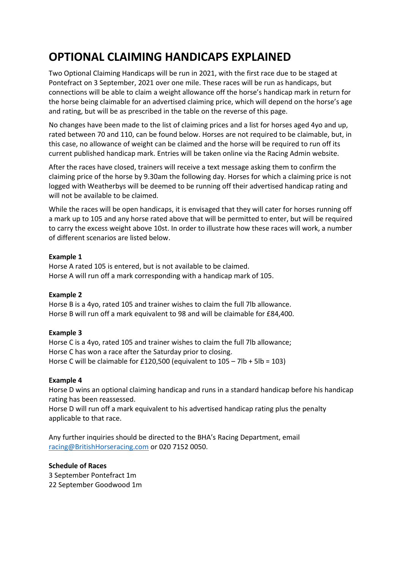## **OPTIONAL CLAIMING HANDICAPS EXPLAINED**

Two Optional Claiming Handicaps will be run in 2021, with the first race due to be staged at Pontefract on 3 September, 2021 over one mile. These races will be run as handicaps, but connections will be able to claim a weight allowance off the horse's handicap mark in return for the horse being claimable for an advertised claiming price, which will depend on the horse's age and rating, but will be as prescribed in the table on the reverse of this page.

No changes have been made to the list of claiming prices and a list for horses aged 4yo and up, rated between 70 and 110, can be found below. Horses are not required to be claimable, but, in this case, no allowance of weight can be claimed and the horse will be required to run off its current published handicap mark. Entries will be taken online via the Racing Admin website.

After the races have closed, trainers will receive a text message asking them to confirm the claiming price of the horse by 9.30am the following day. Horses for which a claiming price is not logged with Weatherbys will be deemed to be running off their advertised handicap rating and will not be available to be claimed.

While the races will be open handicaps, it is envisaged that they will cater for horses running off a mark up to 105 and any horse rated above that will be permitted to enter, but will be required to carry the excess weight above 10st. In order to illustrate how these races will work, a number of different scenarios are listed below.

#### **Example 1**

Horse A rated 105 is entered, but is not available to be claimed. Horse A will run off a mark corresponding with a handicap mark of 105.

### **Example 2**

Horse B is a 4yo, rated 105 and trainer wishes to claim the full 7lb allowance. Horse B will run off a mark equivalent to 98 and will be claimable for £84,400.

### **Example 3**

Horse C is a 4yo, rated 105 and trainer wishes to claim the full 7lb allowance; Horse C has won a race after the Saturday prior to closing. Horse C will be claimable for £120,500 (equivalent to  $105 - 7$ lb + 5lb = 103)

#### **Example 4**

Horse D wins an optional claiming handicap and runs in a standard handicap before his handicap rating has been reassessed.

Horse D will run off a mark equivalent to his advertised handicap rating plus the penalty applicable to that race.

Any further inquiries should be directed to the BHA's Racing Department, email [racing@BritishHorseracing.com](mailto:racing@BritishHorseracing.com) or 020 7152 0050.

#### **Schedule of Races**

3 September Pontefract 1m 22 September Goodwood 1m